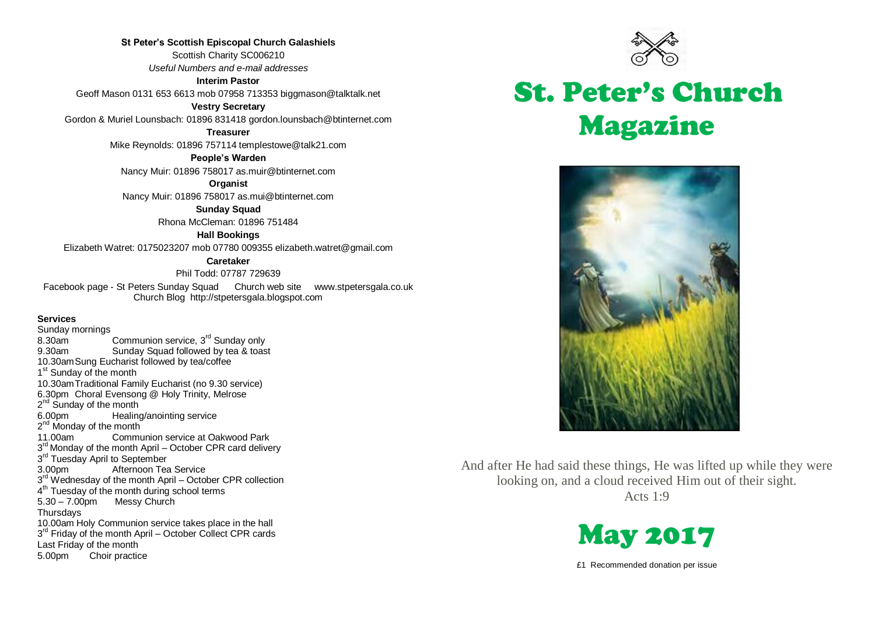**St Peter's Scottish Episcopal Church Galashiels** Scottish Charity SC006210 *Useful Numbers and e-mail addresses*

**Interim Pastor**

Geoff Mason 0131 653 6613 mob 07958 713353 biggmason@talktalk.net

**Vestry Secretary**

Gordon & Muriel Lounsbach: 01896 831418 gordon.lounsbach@btinternet.com

**Treasurer**

Mike Reynolds: 01896 757114 templestowe@talk21.com

**People's Warden**

Nancy Muir: 01896 758017 as.muir@btinternet.com

**Organist**

Nancy Muir: 01896 758017 as.mui@btinternet.com

**Sunday Squad** Rhona McCleman: 01896 751484

**Hall Bookings**

Elizabeth Watret: 0175023207 mob 07780 009355 elizabeth.watret@gmail.com

#### **Caretaker**

Phil Todd: 07787 729639

Facebook page - St Peters Sunday Squad Church web site www.stpetersgala.co.uk Church Blog [http://stpetersgala.blogspot.com](http://stpetersgala.blogspot.com/)

#### **Services**

Sunday mornings<br>8.30am Communion service, 3<sup>rd</sup> Sunday only 9.30am Sunday Squad followed by tea & toast 10.30amSung Eucharist followed by tea/coffee 1<sup>st</sup> Sunday of the month 10.30amTraditional Family Eucharist (no 9.30 service) 6.30pm Choral Evensong @ Holy Trinity, Melrose 2<sup>nd</sup> Sunday of the month 6.00pm Healing/anointing service 2<sup>nd</sup> Monday of the month 11.00am Communion service at Oakwood Park 3<sup>rd</sup> Monday of the month April – October CPR card delivery 3<sup>rd</sup> Tuesday April to September 3.00pm Afternoon Tea Service 3<sup>rd</sup> Wednesday of the month April – October CPR collection 4<sup>th</sup> Tuesday of the month during school terms 5.30 – 7.00pm Messy Church **Thursdays** 10.00am Holy Communion service takes place in the hall 3<sup>rd</sup> Friday of the month April – October Collect CPR cards Last Friday of the month 5.00pm Choir practice



# St. Peter's Church Magazine



And after He had said these things, He was lifted up while they were looking on, and a cloud received Him out of their sight. Acts 1:9



£1 Recommended donation per issue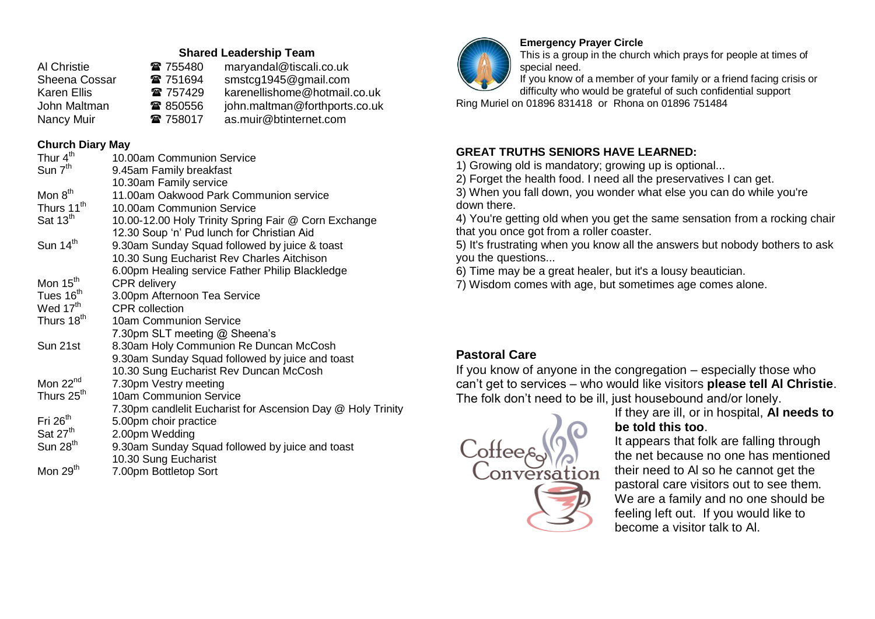### **Shared Leadership Team**

| Al Christie        | ☎ 755480 | maryandal@tiscali.co.uk       |
|--------------------|----------|-------------------------------|
| Sheena Cossar      | 雷 751694 | smstcg1945@gmail.com          |
| <b>Karen Ellis</b> | ☎ 757429 | karenellishome@hotmail.co.uk  |
| John Maltman       | ☎ 850556 | john.maltman@forthports.co.uk |
| Nancy Muir         | ☎ 758017 | as.muir@btinternet.com        |

## **Church Diary May**

| Thur 4 <sup>th</sup>   | 10.00am Communion Service                                   |
|------------------------|-------------------------------------------------------------|
| Sun 7 <sup>th</sup>    | 9.45am Family breakfast                                     |
|                        | 10.30am Family service                                      |
| Mon 8 <sup>th</sup>    | 11.00am Oakwood Park Communion service                      |
| Thurs 11 <sup>th</sup> | 10.00am Communion Service                                   |
| Sat 13 <sup>th</sup>   | 10.00-12.00 Holy Trinity Spring Fair @ Corn Exchange        |
|                        | 12.30 Soup 'n' Pud lunch for Christian Aid                  |
| Sun 14 <sup>th</sup>   | 9.30am Sunday Squad followed by juice & toast               |
|                        | 10.30 Sung Eucharist Rev Charles Aitchison                  |
|                        | 6.00pm Healing service Father Philip Blackledge             |
| Mon 15 <sup>th</sup>   | CPR delivery                                                |
| Tues 16 <sup>th</sup>  | 3.00pm Afternoon Tea Service                                |
| Wed 17 <sup>th</sup>   | <b>CPR</b> collection                                       |
| Thurs 18 <sup>th</sup> | 10am Communion Service                                      |
|                        | 7.30pm SLT meeting @ Sheena's                               |
| Sun 21st               | 8.30am Holy Communion Re Duncan McCosh                      |
|                        | 9.30am Sunday Squad followed by juice and toast             |
|                        | 10.30 Sung Eucharist Rev Duncan McCosh                      |
| Mon $22nd$             | 7.30pm Vestry meeting                                       |
| Thurs 25 <sup>th</sup> | 10am Communion Service                                      |
|                        | 7.30pm candlelit Eucharist for Ascension Day @ Holy Trinity |
| Fri 26 <sup>th</sup>   | 5.00pm choir practice                                       |
| Sat 27 <sup>th</sup>   | 2.00pm Wedding                                              |
| Sun $28th$             | 9.30am Sunday Squad followed by juice and toast             |
|                        | 10.30 Sung Eucharist                                        |
| Mon 29 <sup>th</sup>   | 7.00pm Bottletop Sort                                       |



## **Emergency Prayer Circle**

This is a group in the church which prays for people at times of special need.

If you know of a member of your family or a friend facing crisis or difficulty who would be grateful of such confidential support

Ring Muriel on 01896 831418 or Rhona on 01896 751484

## **GREAT TRUTHS SENIORS HAVE LEARNED:**

1) Growing old is mandatory; growing up is optional...

2) Forget the health food. I need all the preservatives I can get.

3) When you fall down, you wonder what else you can do while you're down there.

4) You're getting old when you get the same sensation from a rocking chair that you once got from a roller coaster.

5) It's frustrating when you know all the answers but nobody bothers to ask you the questions...

6) Time may be a great healer, but it's a lousy beautician.

7) Wisdom comes with age, but sometimes age comes alone.

## **Pastoral Care**

If you know of anyone in the congregation – especially those who can't get to services – who would like visitors **please tell Al Christie**. The folk don't need to be ill, just housebound and/or lonely.



If they are ill, or in hospital, **Al needs to be told this too**.

It appears that folk are falling through the net because no one has mentioned their need to Al so he cannot get the pastoral care visitors out to see them. We are a family and no one should be feeling left out. If you would like to become a visitor talk to Al.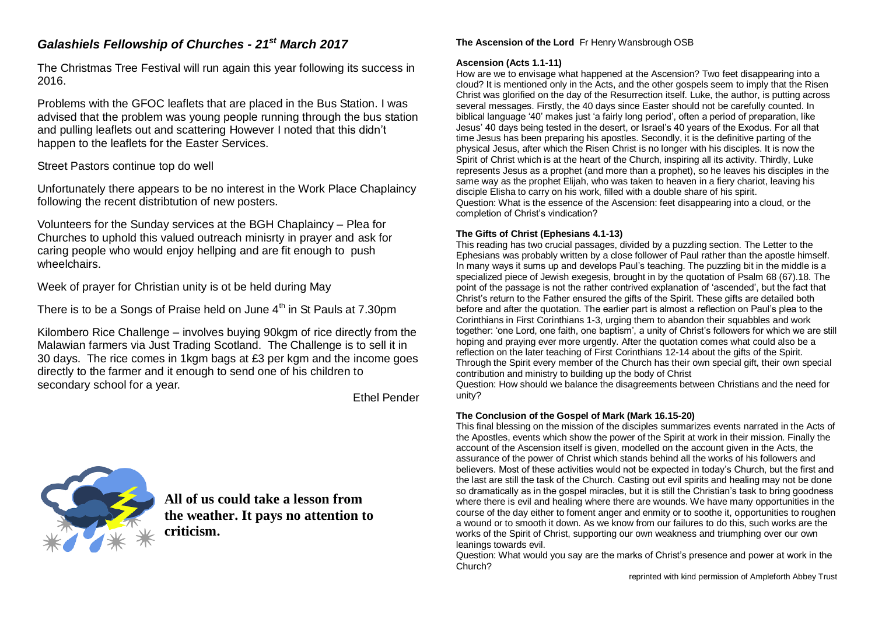## *Galashiels Fellowship of Churches - 21st March 2017*

The Christmas Tree Festival will run again this year following its success in 2016.

Problems with the GFOC leaflets that are placed in the Bus Station. I was advised that the problem was young people running through the bus station and pulling leaflets out and scattering However I noted that this didn't happen to the leaflets for the Easter Services.

## Street Pastors continue top do well

Unfortunately there appears to be no interest in the Work Place Chaplaincy following the recent distribtution of new posters.

Volunteers for the Sunday services at the BGH Chaplaincy – Plea for Churches to uphold this valued outreach minisrty in prayer and ask for caring people who would enjoy hellping and are fit enough to push wheelchairs.

Week of prayer for Christian unity is ot be held during May

There is to be a Songs of Praise held on June 4<sup>th</sup> in St Pauls at 7.30pm

Kilombero Rice Challenge – involves buying 90kgm of rice directly from the Malawian farmers via Just Trading Scotland. The Challenge is to sell it in 30 days. The rice comes in 1kgm bags at £3 per kgm and the income goes directly to the farmer and it enough to send one of his children to secondary school for a year.

Ethel Pender



**All of us could take a lesson from the weather. It pays no attention to criticism.**

## **The Ascension of the Lord** Fr Henry Wansbrough OSB

### **Ascension (Acts 1.1-11)**

How are we to envisage what happened at the Ascension? Two feet disappearing into a cloud? It is mentioned only in the Acts, and the other gospels seem to imply that the Risen Christ was glorified on the day of the Resurrection itself. Luke, the author, is putting across several messages. Firstly, the 40 days since Easter should not be carefully counted. In biblical language '40' makes just 'a fairly long period', often a period of preparation, like Jesus' 40 days being tested in the desert, or Israel's 40 years of the Exodus. For all that time Jesus has been preparing his apostles. Secondly, it is the definitive parting of the physical Jesus, after which the Risen Christ is no longer with his disciples. It is now the Spirit of Christ which is at the heart of the Church, inspiring all its activity. Thirdly, Luke represents Jesus as a prophet (and more than a prophet), so he leaves his disciples in the same way as the prophet Elijah, who was taken to heaven in a fiery chariot, leaving his disciple Elisha to carry on his work, filled with a double share of his spirit. Question: What is the essence of the Ascension: feet disappearing into a cloud, or the completion of Christ's vindication?

## **The Gifts of Christ (Ephesians 4.1-13)**

This reading has two crucial passages, divided by a puzzling section. The Letter to the Ephesians was probably written by a close follower of Paul rather than the apostle himself. In many ways it sums up and develops Paul's teaching. The puzzling bit in the middle is a specialized piece of Jewish exegesis, brought in by the quotation of Psalm 68 (67).18. The point of the passage is not the rather contrived explanation of 'ascended', but the fact that Christ's return to the Father ensured the gifts of the Spirit. These gifts are detailed both before and after the quotation. The earlier part is almost a reflection on Paul's plea to the Corinthians in First Corinthians 1-3, urging them to abandon their squabbles and work together: 'one Lord, one faith, one baptism', a unity of Christ's followers for which we are still hoping and praying ever more urgently. After the quotation comes what could also be a reflection on the later teaching of First Corinthians 12-14 about the gifts of the Spirit. Through the Spirit every member of the Church has their own special gift, their own special contribution and ministry to building up the body of Christ

Question: How should we balance the disagreements between Christians and the need for unity?

## **The Conclusion of the Gospel of Mark (Mark 16.15-20)**

This final blessing on the mission of the disciples summarizes events narrated in the Acts of the Apostles, events which show the power of the Spirit at work in their mission. Finally the account of the Ascension itself is given, modelled on the account given in the Acts, the assurance of the power of Christ which stands behind all the works of his followers and believers. Most of these activities would not be expected in today's Church, but the first and the last are still the task of the Church. Casting out evil spirits and healing may not be done so dramatically as in the gospel miracles, but it is still the Christian's task to bring goodness where there is evil and healing where there are wounds. We have many opportunities in the course of the day either to foment anger and enmity or to soothe it, opportunities to roughen a wound or to smooth it down. As we know from our failures to do this, such works are the works of the Spirit of Christ, supporting our own weakness and triumphing over our own leanings towards evil.

Question: What would you say are the marks of Christ's presence and power at work in the Church?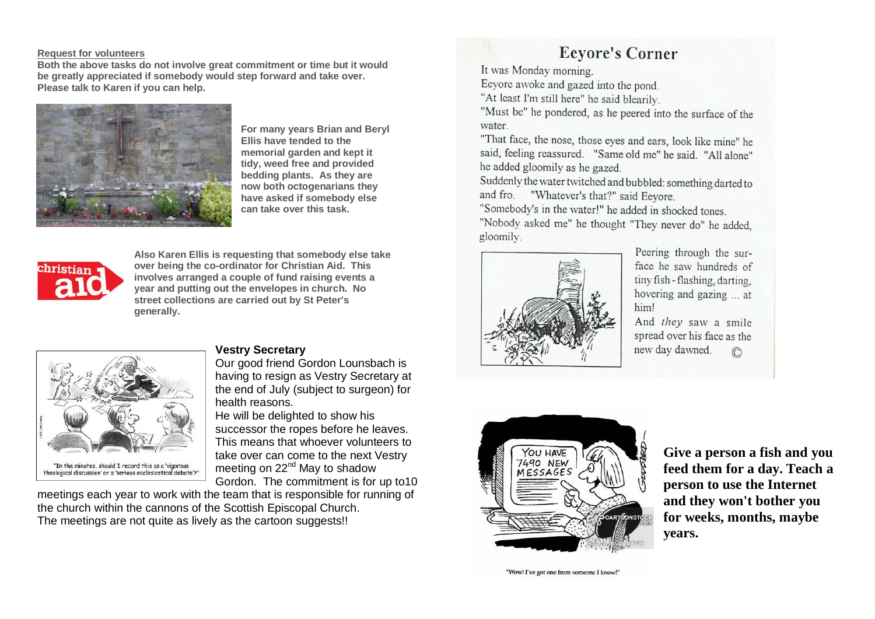#### **Request for volunteers**

**Both the above tasks do not involve great commitment or time but it would be greatly appreciated if somebody would step forward and take over. Please talk to Karen if you can help.**



**For many years Brian and Beryl Ellis have tended to the memorial garden and kept it tidy, weed free and provided bedding plants. As they are now both octogenarians they have asked if somebody else can take over this task.** 



**Also Karen Ellis is requesting that somebody else take over being the co-ordinator for Christian Aid. This involves arranged a couple of fund raising events a year and putting out the envelopes in church. No street collections are carried out by St Peter's generally.**



## **Vestry Secretary**

Our good friend Gordon Lounsbach is having to resign as Vestry Secretary at the end of July (subject to surgeon) for health reasons.

He will be delighted to show his successor the ropes before he leaves. This means that whoever volunteers to take over can come to the next Vestry meeting on 22<sup>nd</sup> May to shadow Gordon. The commitment is for up to10

meetings each year to work with the team that is responsible for running of the church within the cannons of the Scottish Episcopal Church. The meetings are not quite as lively as the cartoon suggests!!

## **Eevore's Corner**

It was Monday morning.

Eeyore awoke and gazed into the pond.

"At least I'm still here" he said blearily.

"Must be" he pondered, as he peered into the surface of the water.

"That face, the nose, those eyes and ears, look like mine" he said, feeling reassured. "Same old me" he said. "All alone" he added gloomily as he gazed.

Suddenly the water twitched and bubbled: something darted to and fro. "Whatever's that?" said Eeyore.

"Somebody's in the water!" he added in shocked tones.

"Nobody asked me" he thought "They never do" he added, gloomily.



Peering through the surface he saw hundreds of tiny fish - flashing, darting, hovering and gazing ... at him!

And they saw a smile spread over his face as the new day dawned.  $\mathbb{C}$ 



**Give a person a fish and you feed them for a day. Teach a person to use the Internet and they won't bother you for weeks, months, maybe years.**

"Wow! I've got one from someone I know!"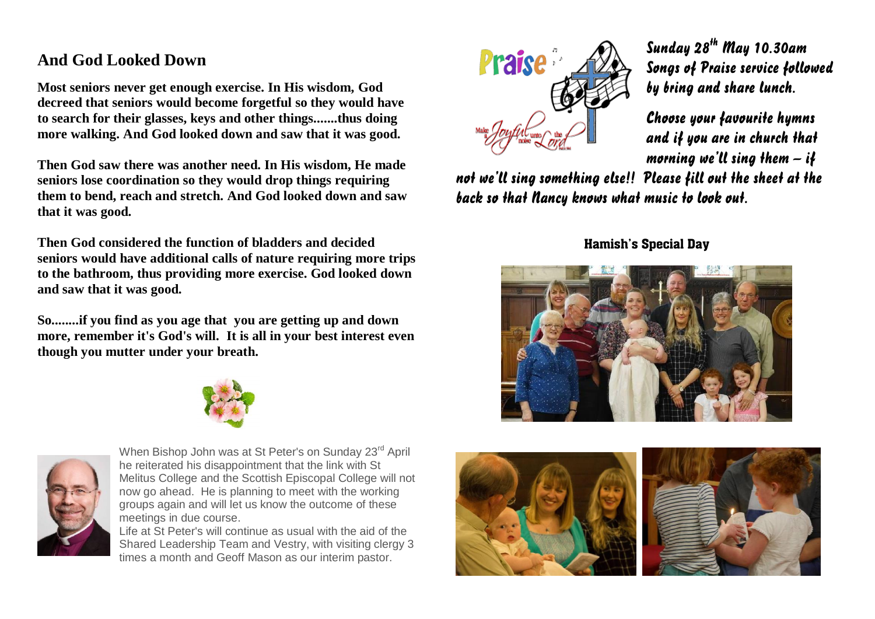## **And God Looked Down**

**Most seniors never get enough exercise. In His wisdom, God decreed that seniors would become forgetful so they would have to search for their glasses, keys and other things.......thus doing more walking. And God looked down and saw that it was good.** 

**Then God saw there was another need. In His wisdom, He made seniors lose coordination so they would drop things requiring them to bend, reach and stretch. And God looked down and saw that it was good.** 

**Then God considered the function of bladders and decided seniors would have additional calls of nature requiring more trips to the bathroom, thus providing more exercise. God looked down and saw that it was good.** 

**So........if you find as you age that you are getting up and down more, remember it's God's will. It is all in your best interest even though you mutter under your breath.**





When Bishop John was at St Peter's on Sunday 23<sup>rd</sup> April he reiterated his disappointment that the link with St Melitus College and the Scottish Episcopal College will not now go ahead. He is planning to meet with the working groups again and will let us know the outcome of these meetings in due course.

Life at St Peter's will continue as usual with the aid of the Shared Leadership Team and Vestry, with visiting clergy 3 times a month and Geoff Mason as our interim pastor.



Sunday  $28^{th}$  May 10.30am Songs of Praise service followed by bring and share lunch.

Choose your favourite hymns and if you are in church that morning we'll sing them  $-i\mathfrak{f}$ 

not we'll sing something else!! Please fill out the sheet at the back so that Nancy knows what music to look out.

Hamish's Special Day